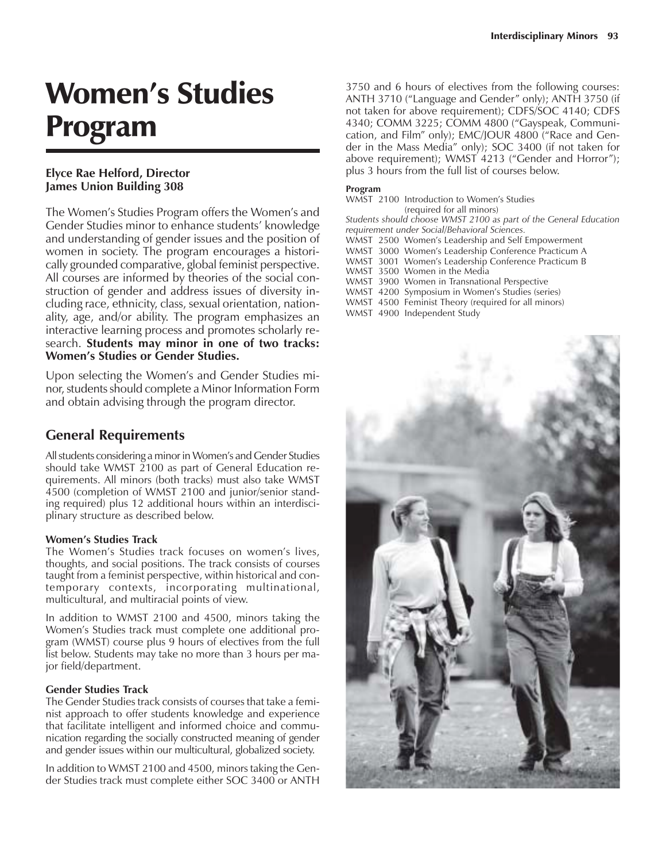# Women's Studies Program

## **Elyce Rae Helford, Director James Union Building 308**

The Women's Studies Program offers the Women's and Gender Studies minor to enhance students' knowledge and understanding of gender issues and the position of women in society. The program encourages a historically grounded comparative, global feminist perspective. All courses are informed by theories of the social construction of gender and address issues of diversity including race, ethnicity, class, sexual orientation, nationality, age, and/or ability. The program emphasizes an interactive learning process and promotes scholarly research. **Students may minor in one of two tracks: Womenís Studies or Gender Studies.**

Upon selecting the Women's and Gender Studies minor, students should complete a Minor Information Form and obtain advising through the program director.

## **General Requirements**

All students considering a minor in Women's and Gender Studies should take WMST 2100 as part of General Education requirements. All minors (both tracks) must also take WMST 4500 (completion of WMST 2100 and junior/senior standing required) plus 12 additional hours within an interdisciplinary structure as described below.

### **Womenís Studies Track**

The Women's Studies track focuses on women's lives, thoughts, and social positions. The track consists of courses taught from a feminist perspective, within historical and contemporary contexts, incorporating multinational, multicultural, and multiracial points of view.

In addition to WMST 2100 and 4500, minors taking the Womenís Studies track must complete one additional program (WMST) course plus 9 hours of electives from the full list below. Students may take no more than 3 hours per major field/department.

#### **Gender Studies Track**

The Gender Studies track consists of courses that take a feminist approach to offer students knowledge and experience that facilitate intelligent and informed choice and communication regarding the socially constructed meaning of gender and gender issues within our multicultural, globalized society.

In addition to WMST 2100 and 4500, minors taking the Gender Studies track must complete either SOC 3400 or ANTH 3750 and 6 hours of electives from the following courses: ANTH 3710 ("Language and Gender" only); ANTH 3750 (if not taken for above requirement); CDFS/SOC 4140; CDFS 4340; COMM 3225; COMM 4800 ("Gayspeak, Communication, and Film" only);  $EMC/JOUR 4800$  ("Race and Gender in the Mass Media" only); SOC 3400 (if not taken for above requirement); WMST 4213 ("Gender and Horror"); plus 3 hours from the full list of courses below.

#### **Program**

WMST 2100 Introduction to Womenís Studies (required for all minors)

*Students should choose WMST 2100 as part of the General Education requirement under Social/Behavioral Sciences.*

WMST 2500 Womenís Leadership and Self Empowerment

WMST 3000 Womenís Leadership Conference Practicum A WMST 3001 Womenís Leadership Conference Practicum B

WMST 3500 Women in the Media

WMST 3900 Women in Transnational Perspective

WMST 4200 Symposium in Women's Studies (series)

WMST 4500 Feminist Theory (required for all minors)

WMST 4900 Independent Study